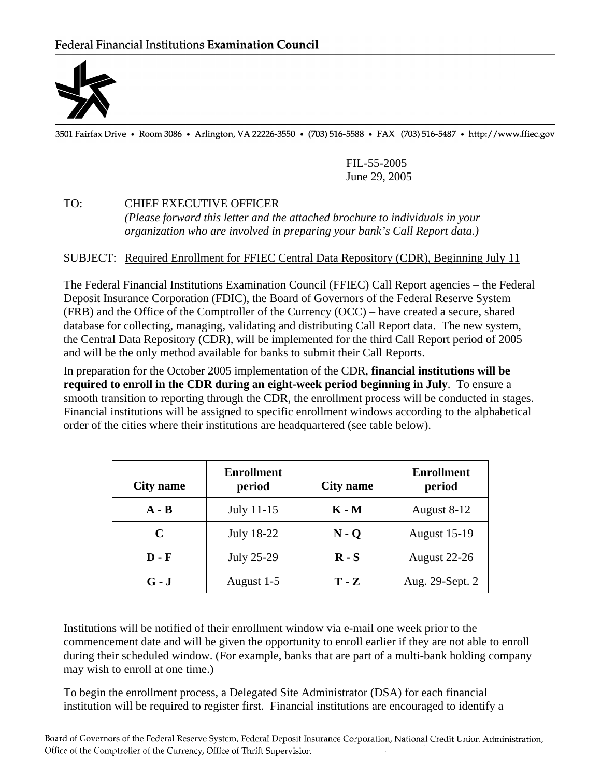

3501 Fairfax Drive • Room 3086 • Arlington, VA 22226-3550 • (703) 516-5588 • FAX (703) 516-5487 • http://www.ffiec.gov

 FIL-55-2005 June 29, 2005

## TO: CHIEF EXECUTIVE OFFICER

 *(Please forward this letter and the attached brochure to individuals in your organization who are involved in preparing your bank's Call Report data.)*

## SUBJECT: Required Enrollment for FFIEC Central Data Repository (CDR), Beginning July 11

The Federal Financial Institutions Examination Council (FFIEC) Call Report agencies – the Federal Deposit Insurance Corporation (FDIC), the Board of Governors of the Federal Reserve System (FRB) and the Office of the Comptroller of the Currency (OCC) – have created a secure, shared database for collecting, managing, validating and distributing Call Report data. The new system, the Central Data Repository (CDR), will be implemented for the third Call Report period of 2005 and will be the only method available for banks to submit their Call Reports.

In preparation for the October 2005 implementation of the CDR, **financial institutions will be required to enroll in the CDR during an eight-week period beginning in July**. To ensure a smooth transition to reporting through the CDR, the enrollment process will be conducted in stages. Financial institutions will be assigned to specific enrollment windows according to the alphabetical order of the cities where their institutions are headquartered (see table below).

| City name    | <b>Enrollment</b><br>period | <b>City name</b> | <b>Enrollment</b><br>period |
|--------------|-----------------------------|------------------|-----------------------------|
| $A - B$      | July 11-15                  | K - M            | August 8-12                 |
| C            | <b>July 18-22</b>           | $N - Q$          | <b>August 15-19</b>         |
| <b>D</b> - F | July 25-29                  | $R-S$            | August 22-26                |
| $G - J$      | August 1-5                  | $T - Z$          | Aug. 29-Sept. 2             |

Institutions will be notified of their enrollment window via e-mail one week prior to the commencement date and will be given the opportunity to enroll earlier if they are not able to enroll during their scheduled window. (For example, banks that are part of a multi-bank holding company may wish to enroll at one time.)

To begin the enrollment process, a Delegated Site Administrator (DSA) for each financial institution will be required to register first. Financial institutions are encouraged to identify a